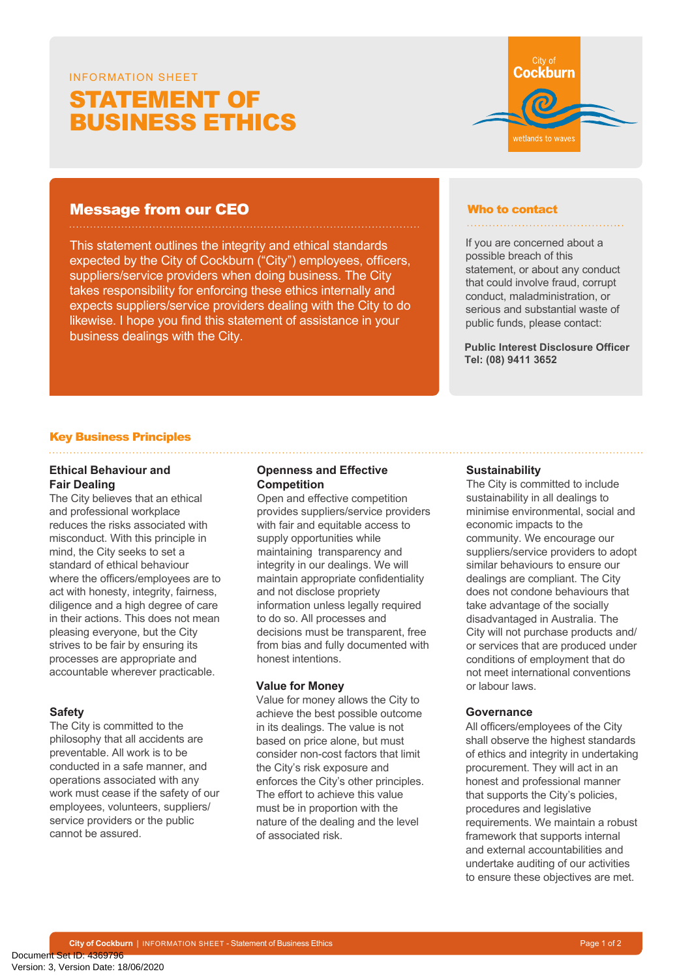# STATEMENT OF INFORMATION SHEET

# BUSINESS ETHICS



This statement outlines the integrity and ethical standards expected by the City of Cockburn ("City") employees, officers, suppliers/service providers when doing business. The City takes responsibility for enforcing these ethics internally and expects suppliers/service providers dealing with the City to do likewise. I hope you find this statement of assistance in your business dealings with the City.

#### Who to contact

#### 

City of Cockburn

wetlands to wave

If you are concerned about a possible breach of this statement, or about any conduct that could involve fraud, corrupt conduct, maladministration, or serious and substantial waste of public funds, please contact:

**Public Interest Disclosure Officer Tel: (08) 9411 3652**

# Key Business Principles

## **Ethical Behaviour and Fair Dealing**

The City believes that an ethical and professional workplace reduces the risks associated with misconduct. With this principle in mind, the City seeks to set a standard of ethical behaviour where the officers/employees are to act with honesty, integrity, fairness, diligence and a high degree of care in their actions. This does not mean pleasing everyone, but the City strives to be fair by ensuring its processes are appropriate and accountable wherever practicable.

# **Safety**

The City is committed to the philosophy that all accidents are preventable. All work is to be conducted in a safe manner, and operations associated with any work must cease if the safety of our employees, volunteers, suppliers/ service providers or the public cannot be assured.

# **Openness and Effective Competition**

Open and effective competition provides suppliers/service providers with fair and equitable access to supply opportunities while maintaining transparency and integrity in our dealings. We will maintain appropriate confidentiality and not disclose propriety information unless legally required to do so. All processes and decisions must be transparent, free from bias and fully documented with honest intentions.

#### **Value for Money**

Value for money allows the City to achieve the best possible outcome in its dealings. The value is not based on price alone, but must consider non-cost factors that limit the City's risk exposure and enforces the City's other principles. The effort to achieve this value must be in proportion with the nature of the dealing and the level of associated risk.

#### **Sustainability**

The City is committed to include sustainability in all dealings to minimise environmental, social and economic impacts to the community. We encourage our suppliers/service providers to adopt similar behaviours to ensure our dealings are compliant. The City does not condone behaviours that take advantage of the socially disadvantaged in Australia. The City will not purchase products and/ or services that are produced under conditions of employment that do not meet international conventions or labour laws.

#### **Governance**

All officers/employees of the City shall observe the highest standards of ethics and integrity in undertaking procurement. They will act in an honest and professional manner that supports the City's policies, procedures and legislative requirements. We maintain a robust framework that supports internal and external accountabilities and undertake auditing of our activities to ensure these objectives are met.